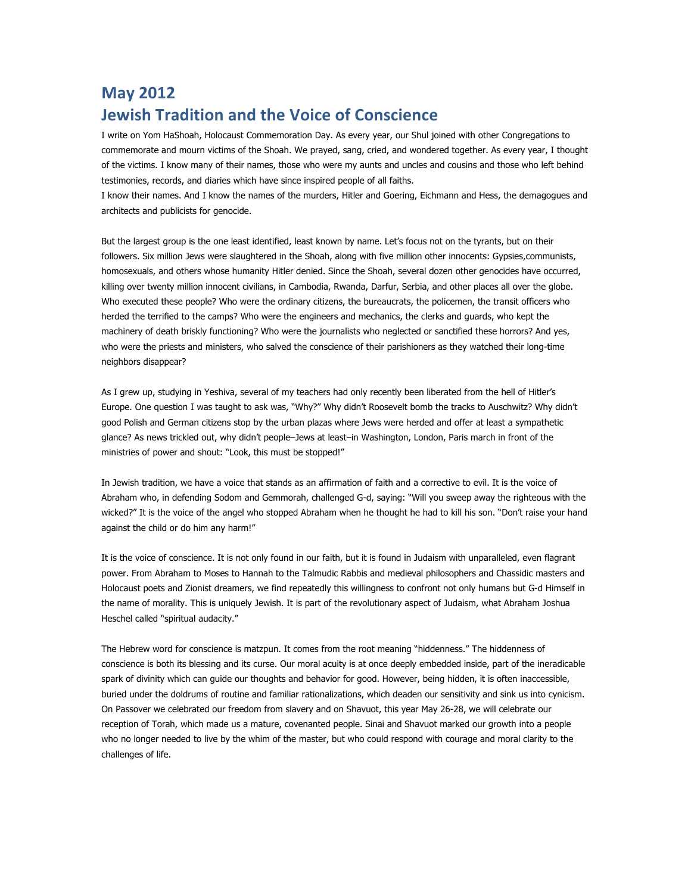## **May 2012 Jewish Tradition and the Voice of Conscience**

I write on Yom HaShoah, Holocaust Commemoration Day. As every year, our Shul joined with other Congregations to commemorate and mourn victims of the Shoah. We prayed, sang, cried, and wondered together. As every year, I thought of the victims. I know many of their names, those who were my aunts and uncles and cousins and those who left behind testimonies, records, and diaries which have since inspired people of all faiths.

I know their names. And I know the names of the murders, Hitler and Goering, Eichmann and Hess, the demagogues and architects and publicists for genocide.

But the largest group is the one least identified, least known by name. Let's focus not on the tyrants, but on their followers. Six million Jews were slaughtered in the Shoah, along with five million other innocents: Gypsies,communists, homosexuals, and others whose humanity Hitler denied. Since the Shoah, several dozen other genocides have occurred, killing over twenty million innocent civilians, in Cambodia, Rwanda, Darfur, Serbia, and other places all over the globe. Who executed these people? Who were the ordinary citizens, the bureaucrats, the policemen, the transit officers who herded the terrified to the camps? Who were the engineers and mechanics, the clerks and guards, who kept the machinery of death briskly functioning? Who were the journalists who neglected or sanctified these horrors? And yes, who were the priests and ministers, who salved the conscience of their parishioners as they watched their long-time neighbors disappear?

As I grew up, studying in Yeshiva, several of my teachers had only recently been liberated from the hell of Hitler's Europe. One question I was taught to ask was, "Why?" Why didn't Roosevelt bomb the tracks to Auschwitz? Why didn't good Polish and German citizens stop by the urban plazas where Jews were herded and offer at least a sympathetic glance? As news trickled out, why didn't people–Jews at least–in Washington, London, Paris march in front of the ministries of power and shout: "Look, this must be stopped!"

In Jewish tradition, we have a voice that stands as an affirmation of faith and a corrective to evil. It is the voice of Abraham who, in defending Sodom and Gemmorah, challenged G-d, saying: "Will you sweep away the righteous with the wicked?" It is the voice of the angel who stopped Abraham when he thought he had to kill his son. "Don't raise your hand against the child or do him any harm!"

It is the voice of conscience. It is not only found in our faith, but it is found in Judaism with unparalleled, even flagrant power. From Abraham to Moses to Hannah to the Talmudic Rabbis and medieval philosophers and Chassidic masters and Holocaust poets and Zionist dreamers, we find repeatedly this willingness to confront not only humans but G-d Himself in the name of morality. This is uniquely Jewish. It is part of the revolutionary aspect of Judaism, what Abraham Joshua Heschel called "spiritual audacity."

The Hebrew word for conscience is matzpun. It comes from the root meaning "hiddenness." The hiddenness of conscience is both its blessing and its curse. Our moral acuity is at once deeply embedded inside, part of the ineradicable spark of divinity which can guide our thoughts and behavior for good. However, being hidden, it is often inaccessible, buried under the doldrums of routine and familiar rationalizations, which deaden our sensitivity and sink us into cynicism. On Passover we celebrated our freedom from slavery and on Shavuot, this year May 26-28, we will celebrate our reception of Torah, which made us a mature, covenanted people. Sinai and Shavuot marked our growth into a people who no longer needed to live by the whim of the master, but who could respond with courage and moral clarity to the challenges of life.